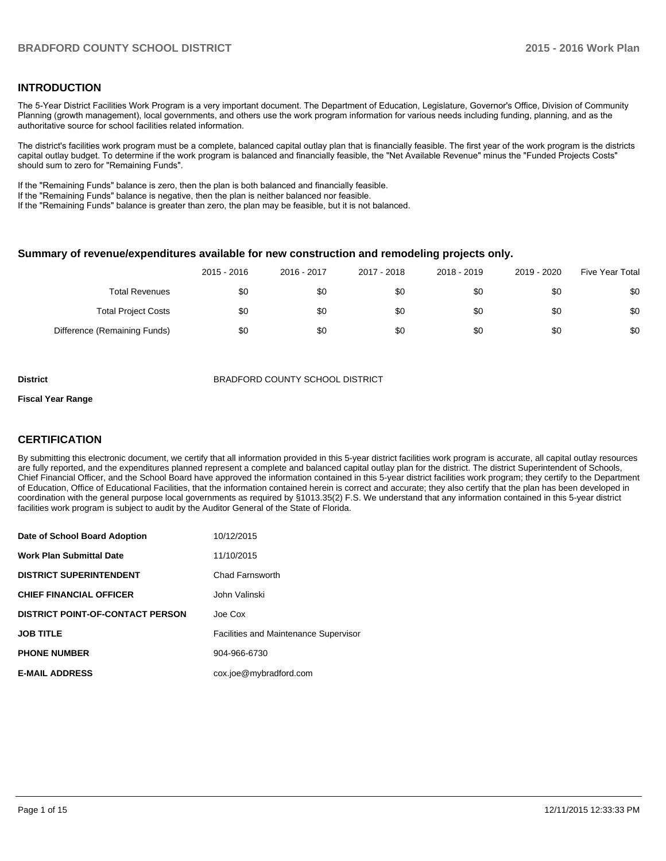## **INTRODUCTION**

The 5-Year District Facilities Work Program is a very important document. The Department of Education, Legislature, Governor's Office, Division of Community Planning (growth management), local governments, and others use the work program information for various needs including funding, planning, and as the authoritative source for school facilities related information.

The district's facilities work program must be a complete, balanced capital outlay plan that is financially feasible. The first year of the work program is the districts capital outlay budget. To determine if the work program is balanced and financially feasible, the "Net Available Revenue" minus the "Funded Projects Costs" should sum to zero for "Remaining Funds".

If the "Remaining Funds" balance is zero, then the plan is both balanced and financially feasible.

If the "Remaining Funds" balance is negative, then the plan is neither balanced nor feasible.

If the "Remaining Funds" balance is greater than zero, the plan may be feasible, but it is not balanced.

#### **Summary of revenue/expenditures available for new construction and remodeling projects only.**

|                              | 2015 - 2016 | 2016 - 2017 | 2017 - 2018 | 2018 - 2019 | 2019 - 2020 | <b>Five Year Total</b> |
|------------------------------|-------------|-------------|-------------|-------------|-------------|------------------------|
| Total Revenues               | \$0         | \$0         | \$0         | \$0         | \$0         | \$0                    |
| <b>Total Project Costs</b>   | \$0         | \$0         | \$0         | \$0         | \$0         | \$0                    |
| Difference (Remaining Funds) | \$0         | \$0         | \$0         | \$0         | \$0         | \$0                    |

**District** BRADFORD COUNTY SCHOOL DISTRICT

#### **Fiscal Year Range**

## **CERTIFICATION**

By submitting this electronic document, we certify that all information provided in this 5-year district facilities work program is accurate, all capital outlay resources are fully reported, and the expenditures planned represent a complete and balanced capital outlay plan for the district. The district Superintendent of Schools, Chief Financial Officer, and the School Board have approved the information contained in this 5-year district facilities work program; they certify to the Department of Education, Office of Educational Facilities, that the information contained herein is correct and accurate; they also certify that the plan has been developed in coordination with the general purpose local governments as required by §1013.35(2) F.S. We understand that any information contained in this 5-year district facilities work program is subject to audit by the Auditor General of the State of Florida.

| Date of School Board Adoption           | 10/12/2015                                   |
|-----------------------------------------|----------------------------------------------|
| <b>Work Plan Submittal Date</b>         | 11/10/2015                                   |
| <b>DISTRICT SUPERINTENDENT</b>          | Chad Farnsworth                              |
| <b>CHIEF FINANCIAL OFFICER</b>          | John Valinski                                |
| <b>DISTRICT POINT-OF-CONTACT PERSON</b> | Joe Cox                                      |
| <b>JOB TITLE</b>                        | <b>Facilities and Maintenance Supervisor</b> |
| <b>PHONE NUMBER</b>                     | 904-966-6730                                 |
| <b>E-MAIL ADDRESS</b>                   | cox.joe@mybradford.com                       |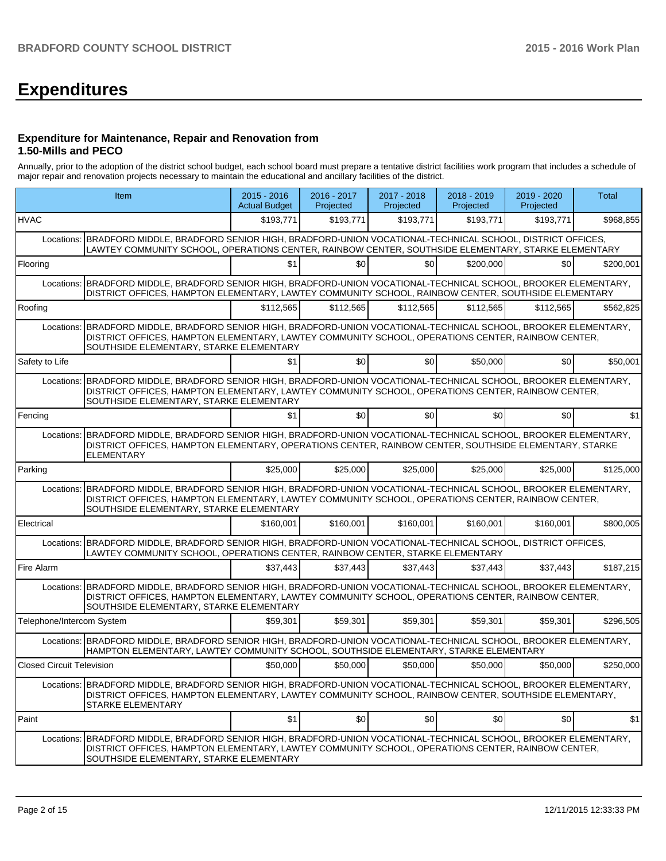# **Expenditures**

#### **Expenditure for Maintenance, Repair and Renovation from 1.50-Mills and PECO**

Annually, prior to the adoption of the district school budget, each school board must prepare a tentative district facilities work program that includes a schedule of major repair and renovation projects necessary to maintain the educational and ancillary facilities of the district.

| Item                             |                                                                                                                                                                                                                                                                   | 2015 - 2016<br><b>Actual Budget</b> | 2016 - 2017<br>Projected | 2017 - 2018<br>Projected | 2018 - 2019<br>Projected | 2019 - 2020<br>Projected | <b>Total</b> |
|----------------------------------|-------------------------------------------------------------------------------------------------------------------------------------------------------------------------------------------------------------------------------------------------------------------|-------------------------------------|--------------------------|--------------------------|--------------------------|--------------------------|--------------|
| <b>HVAC</b>                      |                                                                                                                                                                                                                                                                   | \$193,771                           | \$193,771                | \$193,771                | \$193.771                | \$193,771                | \$968,855    |
|                                  | Locations: BRADFORD MIDDLE, BRADFORD SENIOR HIGH, BRADFORD-UNION VOCATIONAL-TECHNICAL SCHOOL, DISTRICT OFFICES,<br>LAWTEY COMMUNITY SCHOOL, OPERATIONS CENTER, RAINBOW CENTER, SOUTHSIDE ELEMENTARY, STARKE ELEMENTARY                                            |                                     |                          |                          |                          |                          |              |
| Flooring                         |                                                                                                                                                                                                                                                                   | \$1                                 | \$0                      | \$0                      | \$200,000                | \$0                      | \$200,001    |
| Locations:                       | BRADFORD MIDDLE, BRADFORD SENIOR HIGH, BRADFORD-UNION VOCATIONAL-TECHNICAL SCHOOL, BROOKER ELEMENTARY,<br>DISTRICT OFFICES, HAMPTON ELEMENTARY, LAWTEY COMMUNITY SCHOOL, RAINBOW CENTER, SOUTHSIDE ELEMENTARY                                                     |                                     |                          |                          |                          |                          |              |
| Roofing                          |                                                                                                                                                                                                                                                                   | \$112,565                           | \$112,565                | \$112,565                | \$112,565                | \$112,565                | \$562,825    |
|                                  | Locations: BRADFORD MIDDLE, BRADFORD SENIOR HIGH, BRADFORD-UNION VOCATIONAL-TECHNICAL SCHOOL, BROOKER ELEMENTARY,<br>DISTRICT OFFICES, HAMPTON ELEMENTARY, LAWTEY COMMUNITY SCHOOL, OPERATIONS CENTER, RAINBOW CENTER,<br>SOUTHSIDE ELEMENTARY, STARKE ELEMENTARY |                                     |                          |                          |                          |                          |              |
| Safety to Life                   |                                                                                                                                                                                                                                                                   | \$1                                 | \$0                      | \$0                      | \$50,000                 | \$0                      | \$50,001     |
| Locations:                       | BRADFORD MIDDLE, BRADFORD SENIOR HIGH, BRADFORD-UNION VOCATIONAL-TECHNICAL SCHOOL, BROOKER ELEMENTARY,<br>DISTRICT OFFICES, HAMPTON ELEMENTARY, LAWTEY COMMUNITY SCHOOL, OPERATIONS CENTER, RAINBOW CENTER,<br>SOUTHSIDE ELEMENTARY, STARKE ELEMENTARY            |                                     |                          |                          |                          |                          |              |
| Fencing                          |                                                                                                                                                                                                                                                                   | \$1                                 | \$0                      | \$0                      | \$0                      | \$0                      | \$1          |
|                                  | Locations: BRADFORD MIDDLE, BRADFORD SENIOR HIGH, BRADFORD-UNION VOCATIONAL-TECHNICAL SCHOOL, BROOKER ELEMENTARY,<br>DISTRICT OFFICES, HAMPTON ELEMENTARY, OPERATIONS CENTER, RAINBOW CENTER, SOUTHSIDE ELEMENTARY, STARKE<br><b>ELEMENTARY</b>                   |                                     |                          |                          |                          |                          |              |
| Parking                          |                                                                                                                                                                                                                                                                   | \$25,000                            | \$25,000                 | \$25,000                 | \$25,000                 | \$25,000                 | \$125,000    |
|                                  | Locations: BRADFORD MIDDLE, BRADFORD SENIOR HIGH, BRADFORD-UNION VOCATIONAL-TECHNICAL SCHOOL, BROOKER ELEMENTARY,<br>DISTRICT OFFICES, HAMPTON ELEMENTARY, LAWTEY COMMUNITY SCHOOL, OPERATIONS CENTER, RAINBOW CENTER,<br>SOUTHSIDE ELEMENTARY, STARKE ELEMENTARY |                                     |                          |                          |                          |                          |              |
| Electrical                       |                                                                                                                                                                                                                                                                   | \$160,001                           | \$160,001                | \$160,001                | \$160,001                | \$160,001                | \$800,005    |
| Locations:                       | BRADFORD MIDDLE, BRADFORD SENIOR HIGH, BRADFORD-UNION VOCATIONAL-TECHNICAL SCHOOL, DISTRICT OFFICES,<br>LAWTEY COMMUNITY SCHOOL, OPERATIONS CENTER, RAINBOW CENTER, STARKE ELEMENTARY                                                                             |                                     |                          |                          |                          |                          |              |
| Fire Alarm                       |                                                                                                                                                                                                                                                                   | \$37,443                            | \$37,443                 | \$37,443                 | \$37,443                 | \$37,443                 | \$187,215    |
|                                  | Locations: BRADFORD MIDDLE, BRADFORD SENIOR HIGH, BRADFORD-UNION VOCATIONAL-TECHNICAL SCHOOL, BROOKER ELEMENTARY,<br>DISTRICT OFFICES, HAMPTON ELEMENTARY, LAWTEY COMMUNITY SCHOOL, OPERATIONS CENTER, RAINBOW CENTER,<br>SOUTHSIDE ELEMENTARY, STARKE ELEMENTARY |                                     |                          |                          |                          |                          |              |
| Telephone/Intercom System        |                                                                                                                                                                                                                                                                   | \$59,301                            | \$59,301                 | \$59,301                 | \$59,301                 | \$59,301                 | \$296,505    |
|                                  | Locations: BRADFORD MIDDLE, BRADFORD SENIOR HIGH, BRADFORD-UNION VOCATIONAL-TECHNICAL SCHOOL, BROOKER ELEMENTARY,<br>HAMPTON ELEMENTARY, LAWTEY COMMUNITY SCHOOL, SOUTHSIDE ELEMENTARY, STARKE ELEMENTARY                                                         |                                     |                          |                          |                          |                          |              |
| <b>Closed Circuit Television</b> |                                                                                                                                                                                                                                                                   | \$50,000                            | \$50,000                 | \$50,000                 | \$50,000                 | \$50,000                 | \$250,000    |
|                                  | Locations: BRADFORD MIDDLE, BRADFORD SENIOR HIGH, BRADFORD-UNION VOCATIONAL-TECHNICAL SCHOOL, BROOKER ELEMENTARY,<br>DISTRICT OFFICES, HAMPTON ELEMENTARY, LAWTEY COMMUNITY SCHOOL, RAINBOW CENTER, SOUTHSIDE ELEMENTARY,<br><b>STARKE ELEMENTARY</b>             |                                     |                          |                          |                          |                          |              |
| Paint                            |                                                                                                                                                                                                                                                                   | \$1                                 | \$0                      | \$0                      | \$0                      | \$0                      | \$1          |
| Locations:                       | BRADFORD MIDDLE, BRADFORD SENIOR HIGH, BRADFORD-UNION VOCATIONAL-TECHNICAL SCHOOL, BROOKER ELEMENTARY,<br>DISTRICT OFFICES, HAMPTON ELEMENTARY, LAWTEY COMMUNITY SCHOOL, OPERATIONS CENTER, RAINBOW CENTER,<br>SOUTHSIDE ELEMENTARY, STARKE ELEMENTARY            |                                     |                          |                          |                          |                          |              |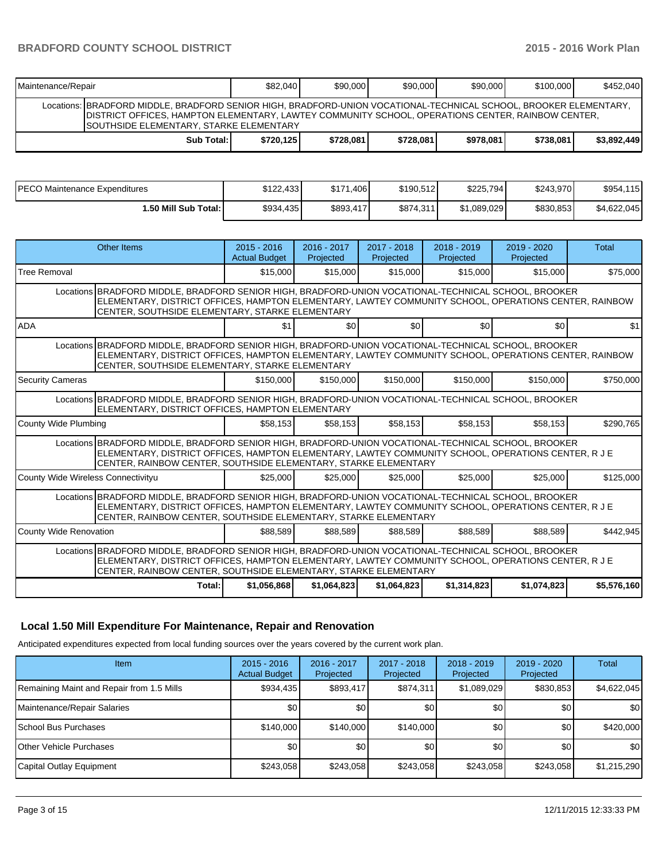# **BRADFORD COUNTY SCHOOL DISTRICT** 2015 - 2015 - 2016 Work Plan

| Maintenance/Repair                                                                                                                                                                                                                                                  |              | \$82,040  | \$90,000  | \$90.000  | \$90.000  | \$100,000 | \$452,040   |  |
|---------------------------------------------------------------------------------------------------------------------------------------------------------------------------------------------------------------------------------------------------------------------|--------------|-----------|-----------|-----------|-----------|-----------|-------------|--|
| Locations: IBRADFORD MIDDLE, BRADFORD SENIOR HIGH, BRADFORD-UNION VOCATIONAL-TECHNICAL SCHOOL, BROOKER ELEMENTARY,<br>DISTRICT OFFICES, HAMPTON ELEMENTARY, LAWTEY COMMUNITY SCHOOL, OPERATIONS CENTER, RAINBOW CENTER,<br>ISOUTHSIDE ELEMENTARY. STARKE ELEMENTARY |              |           |           |           |           |           |             |  |
|                                                                                                                                                                                                                                                                     | Sub Total: I | \$720.125 | \$728.081 | \$728,081 | \$978,081 | \$738.081 | \$3,892,449 |  |

| IPECO Maintenance Expenditures | \$122,433 | \$171.406 | \$190,512 | \$225,794]  | \$243,970  | \$954,115   |
|--------------------------------|-----------|-----------|-----------|-------------|------------|-------------|
| 1.50 Mill Sub Total: I         | \$934,435 | \$893,417 | \$874,311 | \$1,089,029 | \$830,853] | \$4,622,045 |

|                                    | Other Items                                                                                                                                                                                                                                                                    | $2015 - 2016$<br><b>Actual Budget</b> | $2016 - 2017$<br>Projected | $2017 - 2018$<br>Projected | $2018 - 2019$<br>Projected | $2019 - 2020$<br>Projected | Total       |  |
|------------------------------------|--------------------------------------------------------------------------------------------------------------------------------------------------------------------------------------------------------------------------------------------------------------------------------|---------------------------------------|----------------------------|----------------------------|----------------------------|----------------------------|-------------|--|
| Tree Removal                       |                                                                                                                                                                                                                                                                                | \$15,000                              | \$15,000                   | \$15,000                   | \$15,000                   | \$15,000                   | \$75,000    |  |
|                                    | Locations BRADFORD MIDDLE, BRADFORD SENIOR HIGH, BRADFORD-UNION VOCATIONAL-TECHNICAL SCHOOL, BROOKER<br>ELEMENTARY, DISTRICT OFFICES, HAMPTON ELEMENTARY, LAWTEY COMMUNITY SCHOOL, OPERATIONS CENTER, RAINBOW<br>CENTER, SOUTHSIDE ELEMENTARY, STARKE ELEMENTARY               |                                       |                            |                            |                            |                            |             |  |
| <b>ADA</b>                         |                                                                                                                                                                                                                                                                                | \$1                                   | \$0                        | \$0                        | \$0                        | \$0                        | \$1         |  |
|                                    | Locations BRADFORD MIDDLE, BRADFORD SENIOR HIGH, BRADFORD-UNION VOCATIONAL-TECHNICAL SCHOOL, BROOKER<br>ELEMENTARY, DISTRICT OFFICES, HAMPTON ELEMENTARY, LAWTEY COMMUNITY SCHOOL, OPERATIONS CENTER, RAINBOW<br>CENTER, SOUTHSIDE ELEMENTARY, STARKE ELEMENTARY               |                                       |                            |                            |                            |                            |             |  |
| <b>Security Cameras</b>            |                                                                                                                                                                                                                                                                                | \$150,000                             | \$150,000                  | \$150,000                  | \$150,000                  | \$150,000                  | \$750,000   |  |
|                                    | Locations BRADFORD MIDDLE, BRADFORD SENIOR HIGH, BRADFORD-UNION VOCATIONAL-TECHNICAL SCHOOL, BROOKER<br>ELEMENTARY, DISTRICT OFFICES, HAMPTON ELEMENTARY                                                                                                                       |                                       |                            |                            |                            |                            |             |  |
| County Wide Plumbing               |                                                                                                                                                                                                                                                                                | \$58.153                              | \$58.153                   | \$58.153                   | \$58.153                   | \$58.153                   | \$290,765   |  |
|                                    | Locations BRADFORD MIDDLE, BRADFORD SENIOR HIGH, BRADFORD-UNION VOCATIONAL-TECHNICAL SCHOOL, BROOKER<br>ELEMENTARY, DISTRICT OFFICES, HAMPTON ELEMENTARY, LAWTEY COMMUNITY SCHOOL, OPERATIONS CENTER, R J E<br>CENTER, RAINBOW CENTER, SOUTHSIDE ELEMENTARY, STARKE ELEMENTARY |                                       |                            |                            |                            |                            |             |  |
| County Wide Wireless Connectivityu |                                                                                                                                                                                                                                                                                | \$25,000                              | \$25,000                   | \$25,000                   | \$25,000                   | \$25,000                   | \$125,000   |  |
|                                    | Locations BRADFORD MIDDLE, BRADFORD SENIOR HIGH, BRADFORD-UNION VOCATIONAL-TECHNICAL SCHOOL, BROOKER<br>ELEMENTARY, DISTRICT OFFICES, HAMPTON ELEMENTARY, LAWTEY COMMUNITY SCHOOL, OPERATIONS CENTER, R J E<br>CENTER, RAINBOW CENTER, SOUTHSIDE ELEMENTARY, STARKE ELEMENTARY |                                       |                            |                            |                            |                            |             |  |
| County Wide Renovation             |                                                                                                                                                                                                                                                                                | \$88.589                              | \$88.589                   | \$88.589                   | \$88.589                   | \$88,589                   | \$442,945   |  |
|                                    | Locations BRADFORD MIDDLE, BRADFORD SENIOR HIGH, BRADFORD-UNION VOCATIONAL-TECHNICAL SCHOOL, BROOKER<br>ELEMENTARY, DISTRICT OFFICES, HAMPTON ELEMENTARY, LAWTEY COMMUNITY SCHOOL, OPERATIONS CENTER, R J E<br>CENTER, RAINBOW CENTER, SOUTHSIDE ELEMENTARY, STARKE ELEMENTARY |                                       |                            |                            |                            |                            |             |  |
|                                    | Total:                                                                                                                                                                                                                                                                         | \$1,056,868                           | \$1,064,823                | \$1.064.823                | \$1,314,823                | \$1,074,823                | \$5,576,160 |  |

# **Local 1.50 Mill Expenditure For Maintenance, Repair and Renovation**

Anticipated expenditures expected from local funding sources over the years covered by the current work plan.

| Item                                      | $2015 - 2016$<br><b>Actual Budget</b> | 2016 - 2017<br>Projected | 2017 - 2018<br>Projected | $2018 - 2019$<br>Projected | $2019 - 2020$<br>Projected | <b>Total</b> |
|-------------------------------------------|---------------------------------------|--------------------------|--------------------------|----------------------------|----------------------------|--------------|
| Remaining Maint and Repair from 1.5 Mills | \$934,435                             | \$893,417                | \$874,311                | \$1,089,029                | \$830,853                  | \$4,622,045  |
| Maintenance/Repair Salaries               | \$0                                   | \$0 <sub>1</sub>         | \$0                      | \$0 <sub>1</sub>           | \$0                        | \$0          |
| l School Bus Purchases                    | \$140,000                             | \$140,000                | \$140,000                | <b>\$01</b>                | \$0                        | \$420,000    |
| <b>O</b> ther Vehicle Purchases           | \$0                                   | \$0 <sub>1</sub>         | \$0                      | \$0 <sub>1</sub>           | \$0                        | \$0          |
| Capital Outlay Equipment                  | \$243,058                             | \$243.058                | \$243,058                | \$243,058                  | \$243,058                  | \$1,215,290  |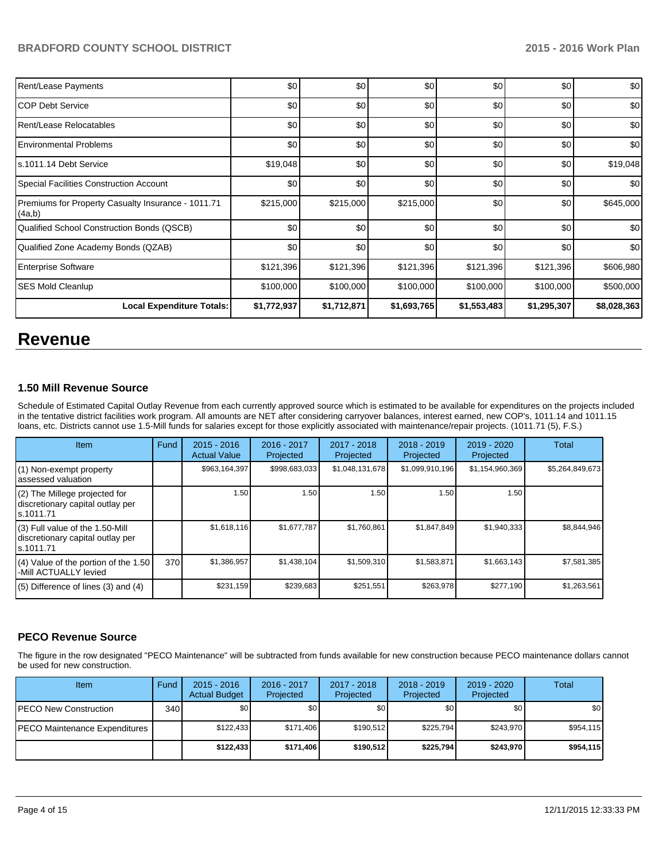| Rent/Lease Payments                                          | \$0         | \$0         | \$0         | \$0         | \$0         | \$0         |
|--------------------------------------------------------------|-------------|-------------|-------------|-------------|-------------|-------------|
| ICOP Debt Service                                            | \$0         | \$0         | \$0         | \$0         | \$0         | \$0         |
| Rent/Lease Relocatables                                      | \$0         | \$0         | \$0         | \$0         | \$0         | \$0         |
| <b>Environmental Problems</b>                                | \$0         | \$0         | \$0         | \$0         | \$0         | \$0         |
| Is.1011.14 Debt Service                                      | \$19,048    | \$0         | \$0         | \$0         | \$0         | \$19,048    |
| Special Facilities Construction Account                      | \$0         | \$0         | \$0         | \$0         | \$0         | \$0         |
| Premiums for Property Casualty Insurance - 1011.71<br>(4a,b) | \$215,000   | \$215,000   | \$215,000   | \$0         | \$0         | \$645,000   |
| Qualified School Construction Bonds (QSCB)                   | \$0         | \$0         | \$0         | \$0         | \$0         | \$0         |
| Qualified Zone Academy Bonds (QZAB)                          | \$0         | \$0         | \$0         | \$0         | \$0         | \$0         |
| <b>Enterprise Software</b>                                   | \$121,396   | \$121,396   | \$121,396   | \$121,396   | \$121,396   | \$606,980   |
| <b>SES Mold Cleanlup</b>                                     | \$100,000   | \$100,000   | \$100,000   | \$100,000   | \$100,000   | \$500,000   |
| <b>Local Expenditure Totals:</b>                             | \$1,772,937 | \$1,712,871 | \$1,693,765 | \$1,553,483 | \$1,295,307 | \$8,028,363 |

# **Revenue**

## **1.50 Mill Revenue Source**

Schedule of Estimated Capital Outlay Revenue from each currently approved source which is estimated to be available for expenditures on the projects included in the tentative district facilities work program. All amounts are NET after considering carryover balances, interest earned, new COP's, 1011.14 and 1011.15 loans, etc. Districts cannot use 1.5-Mill funds for salaries except for those explicitly associated with maintenance/repair projects. (1011.71 (5), F.S.)

| Item                                                                              | Fund | $2015 - 2016$<br><b>Actual Value</b> | $2016 - 2017$<br>Projected | 2017 - 2018<br>Projected | $2018 - 2019$<br>Projected | $2019 - 2020$<br>Projected | Total           |
|-----------------------------------------------------------------------------------|------|--------------------------------------|----------------------------|--------------------------|----------------------------|----------------------------|-----------------|
| (1) Non-exempt property<br>assessed valuation                                     |      | \$963,164,397                        | \$998,683,033              | \$1,048,131,678          | \$1,099,910,196            | \$1,154,960,369            | \$5,264,849,673 |
| (2) The Millege projected for<br>discretionary capital outlay per<br>ls.1011.71   |      | 1.50                                 | 1.50 l                     | 1.50                     | 1.50                       | 1.50                       |                 |
| (3) Full value of the 1.50-Mill<br>discretionary capital outlay per<br>ls.1011.71 |      | \$1,618,116                          | \$1,677,787                | \$1,760,861              | \$1,847,849                | \$1,940,333                | \$8,844,946     |
| $(4)$ Value of the portion of the 1.50<br>-Mill ACTUALLY levied                   | 370  | \$1,386,957                          | \$1,438,104                | \$1,509,310              | \$1,583,871                | \$1,663,143                | \$7,581,385     |
| $(5)$ Difference of lines (3) and (4)                                             |      | \$231,159                            | \$239,683                  | \$251,551                | \$263,978                  | \$277,190                  | \$1,263,561     |

# **PECO Revenue Source**

The figure in the row designated "PECO Maintenance" will be subtracted from funds available for new construction because PECO maintenance dollars cannot be used for new construction.

| <b>Item</b>                   | Fund | $2015 - 2016$<br><b>Actual Budget</b> | $2016 - 2017$<br>Projected | $2017 - 2018$<br>Projected | $2018 - 2019$<br>Projected | $2019 - 2020$<br>Projected | Total            |
|-------------------------------|------|---------------------------------------|----------------------------|----------------------------|----------------------------|----------------------------|------------------|
| IPECO New Construction        | 340  | \$0                                   | \$0                        | \$0                        | \$0                        | \$0                        | \$0 <sub>1</sub> |
| PECO Maintenance Expenditures |      | \$122.433                             | \$171.406                  | \$190.512                  | \$225.794                  | \$243.970                  | \$954,115        |
|                               |      | \$122.433                             | \$171.406                  | \$190,512                  | \$225.794                  | \$243.970                  | \$954,115        |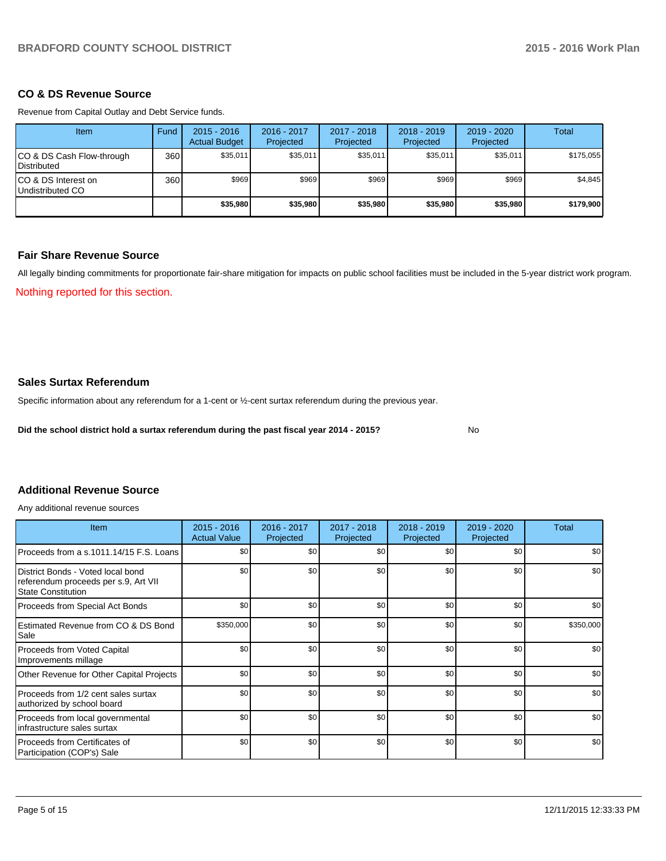#### **CO & DS Revenue Source**

Revenue from Capital Outlay and Debt Service funds.

| Item                                            | Fund | $2015 - 2016$<br><b>Actual Budget</b> | 2016 - 2017<br>Projected | 2017 - 2018<br>Projected | $2018 - 2019$<br>Projected | $2019 - 2020$<br>Projected | Total     |
|-------------------------------------------------|------|---------------------------------------|--------------------------|--------------------------|----------------------------|----------------------------|-----------|
| CO & DS Cash Flow-through<br><b>Distributed</b> | 360  | \$35,011                              | \$35,011                 | \$35,011                 | \$35,011                   | \$35,011                   | \$175.055 |
| CO & DS Interest on<br>Undistributed CO         | 360  | \$969                                 | \$969                    | \$969                    | \$969                      | \$969                      | \$4,845   |
|                                                 |      | \$35,980                              | \$35,980                 | \$35,980                 | \$35,980                   | \$35,980                   | \$179,900 |

## **Fair Share Revenue Source**

All legally binding commitments for proportionate fair-share mitigation for impacts on public school facilities must be included in the 5-year district work program.

Nothing reported for this section.

#### **Sales Surtax Referendum**

Specific information about any referendum for a 1-cent or ½-cent surtax referendum during the previous year.

**Did the school district hold a surtax referendum during the past fiscal year 2014 - 2015?**

No

#### **Additional Revenue Source**

Any additional revenue sources

| <b>Item</b>                                                                                            | $2015 - 2016$<br><b>Actual Value</b> | 2016 - 2017<br>Projected | 2017 - 2018<br>Projected | $2018 - 2019$<br>Projected | 2019 - 2020<br>Projected | Total     |
|--------------------------------------------------------------------------------------------------------|--------------------------------------|--------------------------|--------------------------|----------------------------|--------------------------|-----------|
| Proceeds from a s.1011.14/15 F.S. Loans                                                                | \$0                                  | \$0                      | \$0                      | \$0                        | \$0                      | \$0       |
| District Bonds - Voted local bond<br>referendum proceeds per s.9, Art VII<br><b>State Constitution</b> | \$0                                  | \$0                      | \$0                      | \$0                        | \$0                      | \$0       |
| Proceeds from Special Act Bonds                                                                        | \$0                                  | \$0                      | \$0                      | \$0                        | \$0                      | \$0       |
| Estimated Revenue from CO & DS Bond<br>Sale                                                            | \$350,000                            | \$0                      | \$0                      | \$0                        | \$0                      | \$350,000 |
| Proceeds from Voted Capital<br>Improvements millage                                                    | \$0                                  | \$0                      | \$0                      | \$0                        | \$0                      | \$0       |
| Other Revenue for Other Capital Projects                                                               | \$0                                  | \$0                      | \$0                      | \$0                        | \$0                      | \$0       |
| Proceeds from 1/2 cent sales surtax<br>authorized by school board                                      | \$0                                  | \$0                      | \$0                      | \$0                        | \$0                      | \$0       |
| Proceeds from local governmental<br>Infrastructure sales surtax                                        | \$0                                  | \$0                      | \$0                      | \$0                        | \$0                      | \$0       |
| l Proceeds from Certificates of<br>Participation (COP's) Sale                                          | \$0                                  | \$0                      | \$0                      | \$0                        | \$0                      | \$0       |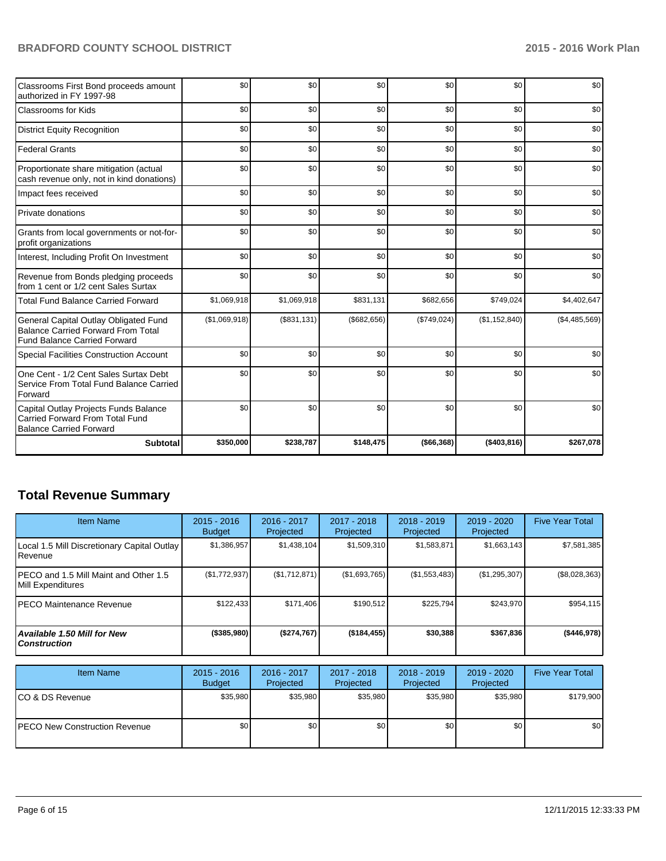# **BRADFORD COUNTY SCHOOL DISTRICT 2015 - 2016 Work Plan**

| Classrooms First Bond proceeds amount<br>authorized in FY 1997-98                                                         | \$0           | \$0         | \$0         | \$0          | \$0           | \$0           |
|---------------------------------------------------------------------------------------------------------------------------|---------------|-------------|-------------|--------------|---------------|---------------|
| <b>Classrooms for Kids</b>                                                                                                | \$0           | \$0         | \$0         | \$0          | \$0           | \$0           |
| <b>District Equity Recognition</b>                                                                                        | \$0           | \$0         | \$0         | \$0          | \$0           | \$0           |
| <b>Federal Grants</b>                                                                                                     | \$0           | \$0         | \$0         | \$0          | \$0           | \$0           |
| Proportionate share mitigation (actual<br>cash revenue only, not in kind donations)                                       | \$0           | \$0         | \$0         | \$0          | \$0           | \$0           |
| Impact fees received                                                                                                      | \$0           | \$0         | \$0         | \$0          | \$0           | \$0           |
| Private donations                                                                                                         | \$0           | \$0         | \$0         | \$0          | \$0           | \$0           |
| Grants from local governments or not-for-<br>profit organizations                                                         | \$0           | \$0         | \$0         | \$0          | \$0           | \$0           |
| Interest, Including Profit On Investment                                                                                  | \$0           | \$0         | \$0         | \$0          | \$0           | \$0           |
| Revenue from Bonds pledging proceeds<br>from 1 cent or 1/2 cent Sales Surtax                                              | \$0           | \$0         | \$0         | \$0          | \$0           | \$0           |
| <b>Total Fund Balance Carried Forward</b>                                                                                 | \$1,069,918   | \$1,069,918 | \$831,131   | \$682,656    | \$749,024     | \$4,402,647   |
| General Capital Outlay Obligated Fund<br><b>Balance Carried Forward From Total</b><br><b>Fund Balance Carried Forward</b> | (\$1,069,918) | (\$831,131) | (\$682,656) | (\$749,024)  | (\$1,152,840) | (\$4,485,569) |
| <b>Special Facilities Construction Account</b>                                                                            | \$0           | \$0         | \$0         | \$0          | \$0           | \$0           |
| One Cent - 1/2 Cent Sales Surtax Debt<br>Service From Total Fund Balance Carried<br>Forward                               | \$0           | \$0         | \$0         | \$0          | \$0           | \$0           |
| Capital Outlay Projects Funds Balance<br>Carried Forward From Total Fund<br><b>Balance Carried Forward</b>                | \$0           | \$0         | \$0         | \$0          | \$0           | \$0           |
| <b>Subtotal</b>                                                                                                           | \$350,000     | \$238,787   | \$148,475   | ( \$66, 368) | ( \$403, 816) | \$267,078     |

# **Total Revenue Summary**

| <b>Item Name</b>                                                   | $2015 - 2016$<br><b>Budget</b> | 2016 - 2017<br>Projected | 2017 - 2018<br>Projected | $2018 - 2019$<br>Projected | $2019 - 2020$<br>Projected | <b>Five Year Total</b> |
|--------------------------------------------------------------------|--------------------------------|--------------------------|--------------------------|----------------------------|----------------------------|------------------------|
| Local 1.5 Mill Discretionary Capital Outlay<br><b>I</b> Revenue    | \$1,386,957                    | \$1,438,104              | \$1,509,310              | \$1,583,871                | \$1,663,143                | \$7,581,385            |
| PECO and 1.5 Mill Maint and Other 1.5<br><b>IMill Expenditures</b> | (\$1,772,937)                  | (\$1,712,871)            | (\$1,693,765)            | (S1, 553, 483)             | (\$1,295,307)              | $(\$8,028,363)$        |
| IPECO Maintenance Revenue                                          | \$122.433                      | \$171.406                | \$190.512                | \$225.794                  | \$243.970                  | \$954,115              |
| Available 1.50 Mill for New l<br>l Construction                    | $($ \$385,980) $ $             | (\$274,767)              | $($ \$184,455)           | \$30,388                   | \$367,836                  | (\$446,978)            |

| <b>Item Name</b>                      | $2015 - 2016$<br><b>Budget</b> | 2016 - 2017<br>Projected | 2017 - 2018<br>Projected | $2018 - 2019$<br>Projected | 2019 - 2020<br>Projected | <b>Five Year Total</b> |
|---------------------------------------|--------------------------------|--------------------------|--------------------------|----------------------------|--------------------------|------------------------|
| ICO & DS Revenue                      | \$35.980                       | \$35,980                 | \$35,980                 | \$35.980                   | \$35.980                 | \$179,900              |
| <b>IPECO New Construction Revenue</b> | \$0                            | \$0 I                    | \$0                      | \$0                        | \$0                      | \$0                    |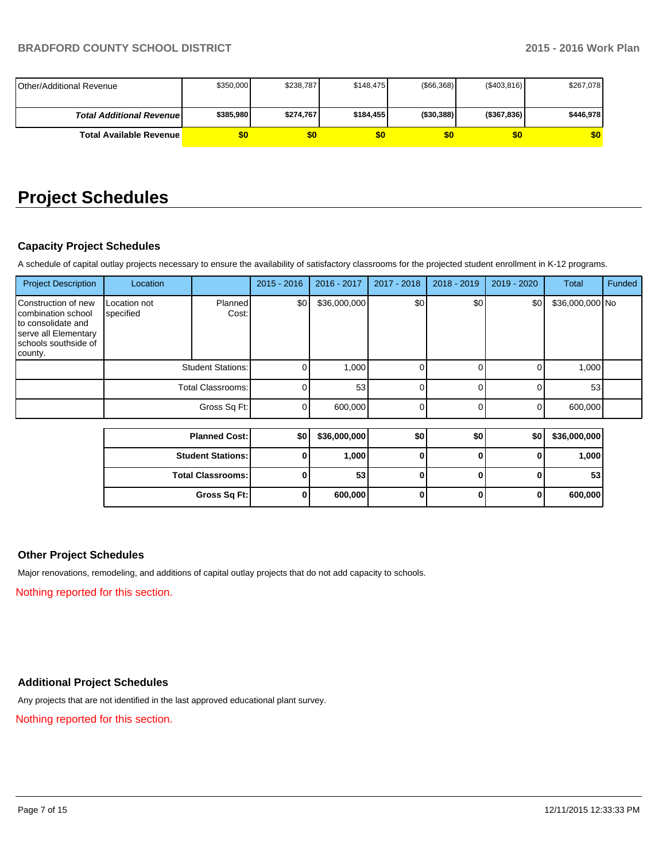| <b>IOther/Additional Revenue</b> | \$350,000 | \$238,787 | \$148.475 | $($ \$66,368) | (S403, 816)    | \$267,078 |
|----------------------------------|-----------|-----------|-----------|---------------|----------------|-----------|
|                                  |           |           |           |               |                |           |
| <b>Total Additional Revenuel</b> | \$385,980 | \$274,767 | \$184.455 | ( \$30, 388)  | $($ \$367,836) | \$446,978 |
| <b>Total Available Revenue</b>   |           | \$0       | \$0       | \$0           | \$0            | \$0       |

# **Project Schedules**

## **Capacity Project Schedules**

A schedule of capital outlay projects necessary to ensure the availability of satisfactory classrooms for the projected student enrollment in K-12 programs.

| <b>Project Description</b>                                                                                                 | Location                  |                          | $2015 - 2016$ | $2016 - 2017$ | 2017 - 2018 | 2018 - 2019 | 2019 - 2020    | <b>Total</b>    | Funded |
|----------------------------------------------------------------------------------------------------------------------------|---------------------------|--------------------------|---------------|---------------|-------------|-------------|----------------|-----------------|--------|
| Construction of new<br>combination school<br>to consolidate and<br>serve all Elementary<br>schools southside of<br>county. | Location not<br>specified | Planned<br>Cost:         | \$0           | \$36,000,000  | \$0         | \$0         | \$0            | \$36,000,000 No |        |
|                                                                                                                            |                           | <b>Student Stations:</b> |               | 1,000         | $\Omega$    | U           | 0              | 1,000           |        |
|                                                                                                                            |                           | Total Classrooms:        |               | 53            | $\Omega$    | 0           | 0              | 53              |        |
|                                                                                                                            | Gross Sq Ft:              |                          | $\Omega$      | 600,000       | $\Omega$    | 0           | $\overline{0}$ | 600,000         |        |
|                                                                                                                            |                           | <b>Planned Cost:</b>     | \$0           | \$36,000,000  | \$0         | \$0         | \$0            | \$36,000,000    |        |
|                                                                                                                            |                           |                          |               |               |             |             |                |                 |        |
| <b>Student Stations:</b>                                                                                                   |                           | 0                        | 1,000         | $\mathbf{0}$  | 0           | 0           | 1,000          |                 |        |
|                                                                                                                            |                           | <b>Total Classrooms:</b> | 0             | 53            | $\bf{0}$    | $\bf{0}$    | 0              | 53              |        |
|                                                                                                                            |                           | Gross Sq Ft:             | 0             | 600,000       | 0           | 0           | $\mathbf{0}$   | 600,000         |        |

## **Other Project Schedules**

Major renovations, remodeling, and additions of capital outlay projects that do not add capacity to schools.

Nothing reported for this section.

# **Additional Project Schedules**

Any projects that are not identified in the last approved educational plant survey.

Nothing reported for this section.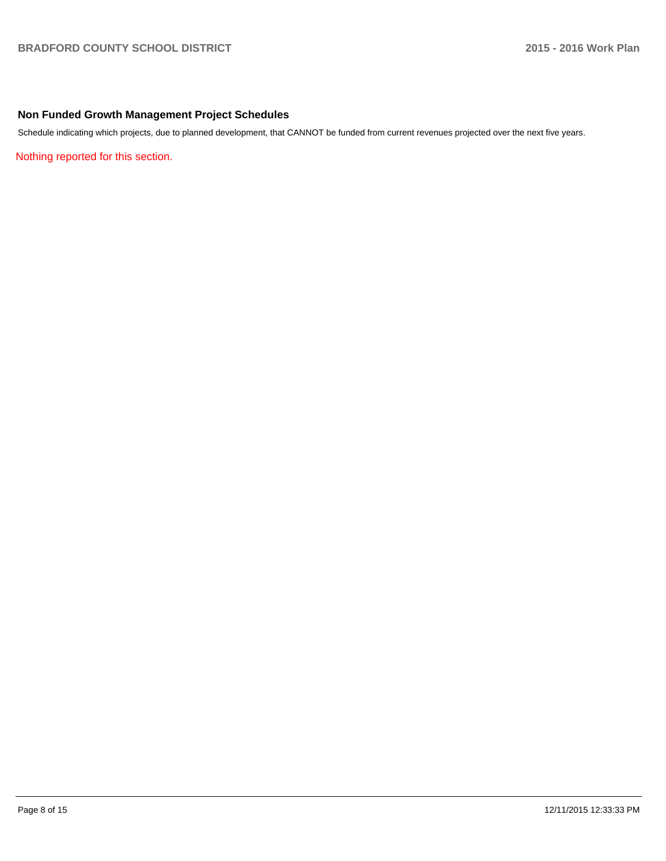## **Non Funded Growth Management Project Schedules**

Schedule indicating which projects, due to planned development, that CANNOT be funded from current revenues projected over the next five years.

Nothing reported for this section.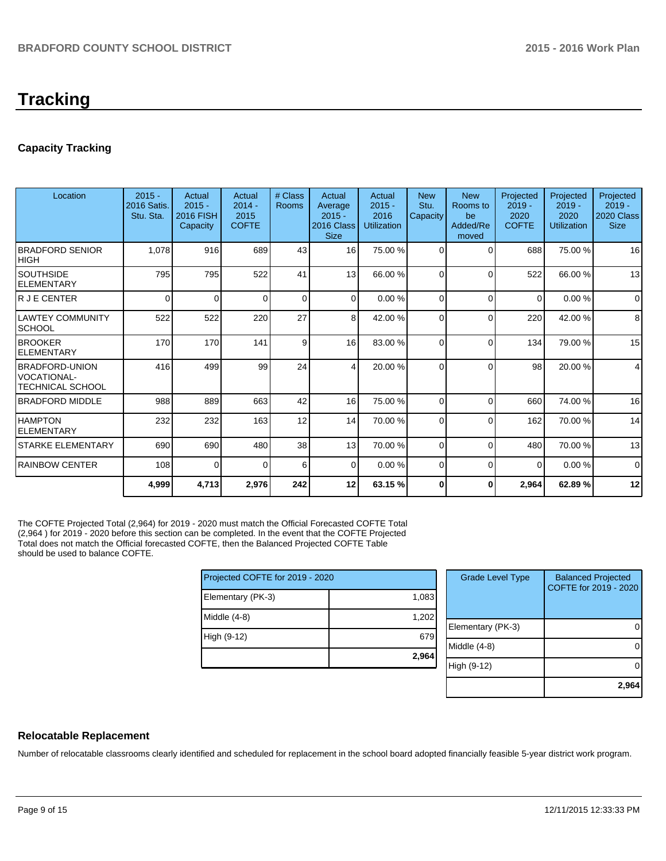# **Tracking**

# **Capacity Tracking**

| Location                                                               | $2015 -$<br><b>2016 Satis.</b><br>Stu. Sta. | Actual<br>$2015 -$<br><b>2016 FISH</b><br>Capacity | Actual<br>$2014 -$<br>2015<br><b>COFTE</b> | # Class<br><b>Rooms</b> | Actual<br>Average<br>$2015 -$<br>2016 Class<br><b>Size</b> | Actual<br>$2015 -$<br>2016<br><b>Utilization</b> | <b>New</b><br>Stu.<br>Capacity | <b>New</b><br>Rooms to<br>be<br>Added/Re<br>moved | Projected<br>$2019 -$<br>2020<br><b>COFTE</b> | Projected<br>$2019 -$<br>2020<br><b>Utilization</b> | Projected<br>$2019 -$<br>2020 Class<br><b>Size</b> |
|------------------------------------------------------------------------|---------------------------------------------|----------------------------------------------------|--------------------------------------------|-------------------------|------------------------------------------------------------|--------------------------------------------------|--------------------------------|---------------------------------------------------|-----------------------------------------------|-----------------------------------------------------|----------------------------------------------------|
| <b>BRADFORD SENIOR</b><br><b>HIGH</b>                                  | 1,078                                       | 916                                                | 689                                        | 43                      | 16                                                         | 75.00 %                                          | $\Omega$                       | $\Omega$                                          | 688                                           | 75.00 %                                             | 16                                                 |
| <b>SOUTHSIDE</b><br><b>ELEMENTARY</b>                                  | 795                                         | 795                                                | 522                                        | 41                      | 13                                                         | 66.00 %                                          | $\Omega$                       | $\Omega$                                          | 522                                           | 66.00 %                                             | 13                                                 |
| R J E CENTER                                                           | $\Omega$                                    | 0                                                  | $\Omega$                                   | 0                       | $\Omega$                                                   | 0.00 %                                           | 0                              | $\Omega$                                          | $\Omega$                                      | 0.00%                                               | 0                                                  |
| <b>LAWTEY COMMUNITY</b><br>SCHOOL                                      | 522                                         | 522                                                | 220                                        | 27                      | 8 <sup>1</sup>                                             | 42.00 %                                          | 0                              | $\Omega$                                          | 220                                           | 42.00%                                              | 8                                                  |
| <b>BROOKER</b><br><b>ELEMENTARY</b>                                    | 170                                         | 170                                                | 141                                        | 9                       | 16                                                         | 83.00 %                                          | $\Omega$                       | $\Omega$                                          | 134                                           | 79.00%                                              | 15                                                 |
| <b>BRADFORD-UNION</b><br><b>VOCATIONAL-</b><br><b>TECHNICAL SCHOOL</b> | 416                                         | 499                                                | 99                                         | 24                      | 4                                                          | 20.00 %                                          | $\Omega$                       | $\Omega$                                          | 98                                            | 20.00%                                              | 4                                                  |
| <b>BRADFORD MIDDLE</b>                                                 | 988                                         | 889                                                | 663                                        | 42                      | 16                                                         | 75.00 %                                          | $\Omega$                       | $\Omega$                                          | 660                                           | 74.00%                                              | 16                                                 |
| <b>HAMPTON</b><br><b>ELEMENTARY</b>                                    | 232                                         | 232                                                | 163                                        | 12                      | 14                                                         | 70.00 %                                          | $\Omega$                       | $\Omega$                                          | 162                                           | 70.00%                                              | 14                                                 |
| <b>STARKE ELEMENTARY</b>                                               | 690                                         | 690                                                | 480                                        | 38                      | 13 <sup>1</sup>                                            | 70.00 %                                          | $\Omega$                       | $\Omega$                                          | 480                                           | 70.00%                                              | 13                                                 |
| <b>RAINBOW CENTER</b>                                                  | 108                                         | 0                                                  | 0                                          | 6                       | $\Omega$                                                   | 0.00 %                                           | $\Omega$                       | $\Omega$                                          | $\Omega$                                      | 0.00%                                               | $\Omega$                                           |
|                                                                        | 4,999                                       | 4,713                                              | 2,976                                      | 242                     | 12                                                         | 63.15 %                                          |                                | ŋ                                                 | 2,964                                         | 62.89%                                              | 12                                                 |

The COFTE Projected Total (2,964) for 2019 - 2020 must match the Official Forecasted COFTE Total (2,964 ) for 2019 - 2020 before this section can be completed. In the event that the COFTE Projected Total does not match the Official forecasted COFTE, then the Balanced Projected COFTE Table should be used to balance COFTE.

| Projected COFTE for 2019 - 2020 |       |  |  |  |  |  |
|---------------------------------|-------|--|--|--|--|--|
| Elementary (PK-3)               | 1,083 |  |  |  |  |  |
| Middle $(4-8)$                  | 1,202 |  |  |  |  |  |
| High (9-12)                     | 679   |  |  |  |  |  |
|                                 | 2,964 |  |  |  |  |  |

| <b>Grade Level Type</b> | <b>Balanced Projected</b><br>COFTE for 2019 - 2020 |
|-------------------------|----------------------------------------------------|
| Elementary (PK-3)       |                                                    |
| Middle $(4-8)$          |                                                    |
| High (9-12)             |                                                    |
|                         | 2,96                                               |

## **Relocatable Replacement**

Number of relocatable classrooms clearly identified and scheduled for replacement in the school board adopted financially feasible 5-year district work program.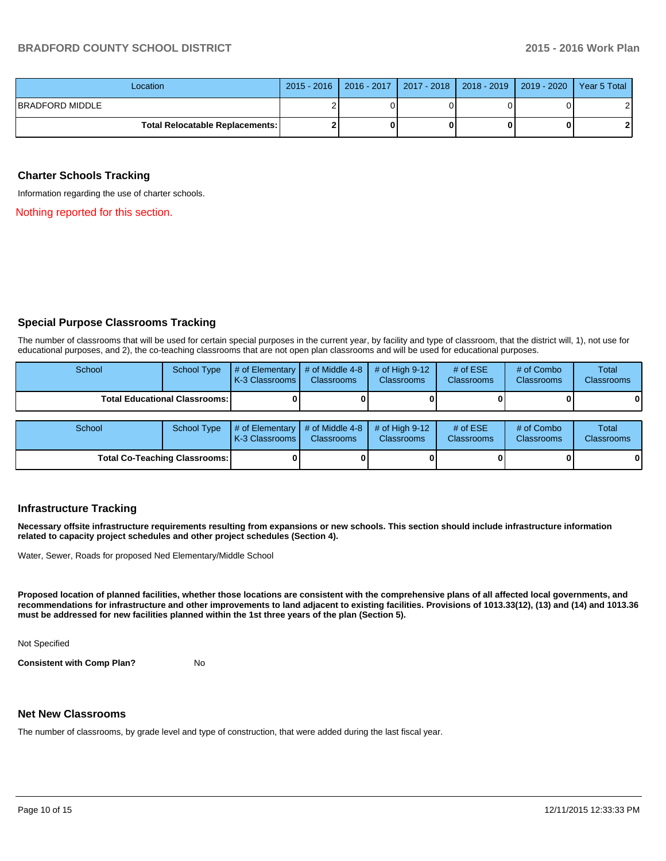## **BRADFORD COUNTY SCHOOL DISTRICT 2015 - 2016 Work Plan**

| Location                                 | 2015 - 2016   2016 - 2017   2017 - 2018   2018 - 2019   2019 - 2020   Year 5 Total |  |  |
|------------------------------------------|------------------------------------------------------------------------------------|--|--|
| IBRADFORD MIDDLE                         |                                                                                    |  |  |
| <b>Total Relocatable Replacements: I</b> |                                                                                    |  |  |

#### **Charter Schools Tracking**

Information regarding the use of charter schools.

Nothing reported for this section.

## **Special Purpose Classrooms Tracking**

The number of classrooms that will be used for certain special purposes in the current year, by facility and type of classroom, that the district will, 1), not use for educational purposes, and 2), the co-teaching classrooms that are not open plan classrooms and will be used for educational purposes.

| School                                 | <b>School Type</b> | $\parallel$ # of Elementary $\parallel$ # of Middle 4-8 $\parallel$<br><b>K-3 Classrooms L</b> | <b>Classrooms</b> | $\#$ of High 9-12<br><b>Classrooms</b> | # of $ESE$<br><b>Classrooms</b> | # of Combo<br><b>Classrooms</b> | Total<br><b>Classrooms</b> |
|----------------------------------------|--------------------|------------------------------------------------------------------------------------------------|-------------------|----------------------------------------|---------------------------------|---------------------------------|----------------------------|
| <b>Total Educational Classrooms: I</b> |                    |                                                                                                |                   |                                        |                                 |                                 | $\mathbf{0}$               |
|                                        |                    |                                                                                                |                   |                                        |                                 |                                 |                            |
| School                                 | School Type        | $\#$ of Elementary $\#$ of Middle 4-8<br>$K2$ Classrooms $\blacksquare$ Classrooms             |                   | $\#$ of High 9-12<br>Claesrooms        | # of $ESE$<br>Claeeroome        | # of Combo<br>Claesrooms        | Total<br>Classrooms        |

| School                               |  | School Type $\parallel \#$ of Elementary $\parallel \#$ of Middle 4-8 $\parallel \#$ of High 9-12 $\parallel$<br><b>IK-3 Classrooms L</b> | <b>Classrooms</b> | <b>Classrooms</b> | # of $ESE$<br><b>Classrooms</b> | # of Combo<br><b>Classrooms</b> | Total<br><b>Classrooms</b> |
|--------------------------------------|--|-------------------------------------------------------------------------------------------------------------------------------------------|-------------------|-------------------|---------------------------------|---------------------------------|----------------------------|
| <b>Total Co-Teaching Classrooms:</b> |  |                                                                                                                                           |                   |                   |                                 | 01                              |                            |

#### **Infrastructure Tracking**

**Necessary offsite infrastructure requirements resulting from expansions or new schools. This section should include infrastructure information related to capacity project schedules and other project schedules (Section 4).**

Water, Sewer, Roads for proposed Ned Elementary/Middle School

**Proposed location of planned facilities, whether those locations are consistent with the comprehensive plans of all affected local governments, and recommendations for infrastructure and other improvements to land adjacent to existing facilities. Provisions of 1013.33(12), (13) and (14) and 1013.36 must be addressed for new facilities planned within the 1st three years of the plan (Section 5).**

Not Specified

**Consistent with Comp Plan?** No

#### **Net New Classrooms**

The number of classrooms, by grade level and type of construction, that were added during the last fiscal year.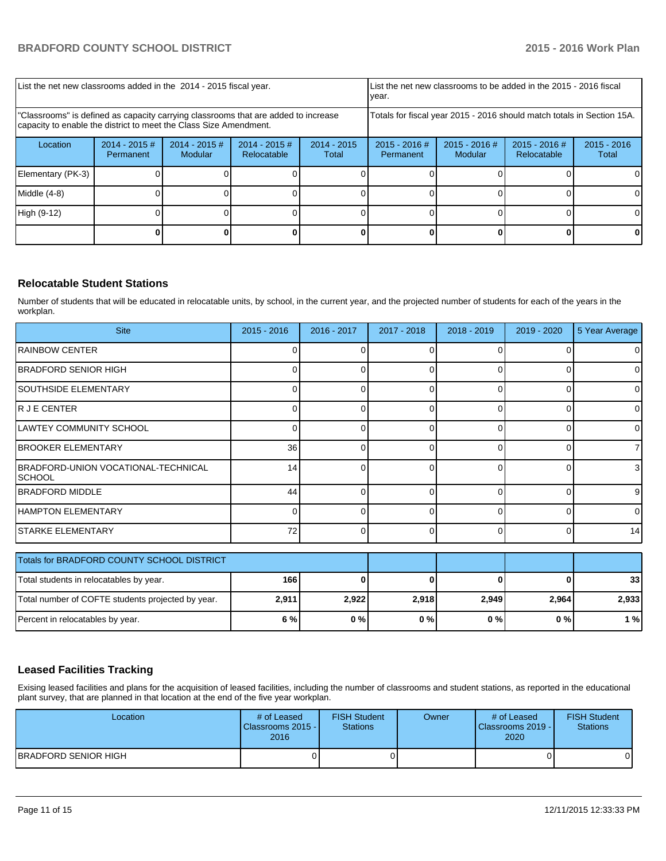| List the net new classrooms added in the 2014 - 2015 fiscal year.                                                                                       |                              |                            |                                |                        | List the net new classrooms to be added in the 2015 - 2016 fiscal<br>Ivear. |                            |                                |                        |
|---------------------------------------------------------------------------------------------------------------------------------------------------------|------------------------------|----------------------------|--------------------------------|------------------------|-----------------------------------------------------------------------------|----------------------------|--------------------------------|------------------------|
| "Classrooms" is defined as capacity carrying classrooms that are added to increase<br>capacity to enable the district to meet the Class Size Amendment. |                              |                            |                                |                        | Totals for fiscal year 2015 - 2016 should match totals in Section 15A.      |                            |                                |                        |
| Location                                                                                                                                                | $2014 - 2015$ #<br>Permanent | $2014 - 2015$ #<br>Modular | $2014 - 2015$ #<br>Relocatable | $2014 - 2015$<br>Total | $2015 - 2016$ #<br>Permanent                                                | $2015 - 2016$ #<br>Modular | $2015 - 2016$ #<br>Relocatable | $2015 - 2016$<br>Total |
| Elementary (PK-3)                                                                                                                                       |                              |                            |                                |                        |                                                                             |                            |                                | 01                     |
| Middle $(4-8)$                                                                                                                                          |                              |                            |                                |                        |                                                                             |                            |                                |                        |
| High (9-12)                                                                                                                                             |                              |                            |                                |                        |                                                                             |                            |                                |                        |
|                                                                                                                                                         |                              |                            |                                |                        |                                                                             |                            |                                |                        |

## **Relocatable Student Stations**

Number of students that will be educated in relocatable units, by school, in the current year, and the projected number of students for each of the years in the workplan.

| <b>Site</b>                                                 | $2015 - 2016$ | 2016 - 2017 | 2017 - 2018 | 2018 - 2019  | 2019 - 2020 | 5 Year Average |
|-------------------------------------------------------------|---------------|-------------|-------------|--------------|-------------|----------------|
| <b>IRAINBOW CENTER</b>                                      | O             |             | U           | $\Omega$     |             | $\overline{0}$ |
| BRADFORD SENIOR HIGH                                        |               |             | n           |              |             | $\overline{0}$ |
| SOUTHSIDE ELEMENTARY                                        | 0             | ი           | 0           | 0            |             | $\overline{0}$ |
| R J E CENTER                                                |               | ∩           | 0           | $\Omega$     | 0           | $\overline{0}$ |
| LAWTEY COMMUNITY SCHOOL                                     |               |             | 0           | $\Omega$     |             | $\overline{0}$ |
| <b>BROOKER ELEMENTARY</b>                                   | 36            | 0           | 0           | $\Omega$     | 0           | 71             |
| <b>BRADFORD-UNION VOCATIONAL-TECHNICAL</b><br><b>SCHOOL</b> | 14            |             | 0           | $\Omega$     | ŋ           | 3 <sup>1</sup> |
| <b>BRADFORD MIDDLE</b>                                      | 44            | U           | $\Omega$    | $\Omega$     | $\Omega$    | 9 <sub>l</sub> |
| HAMPTON ELEMENTARY                                          | O             |             | 0           | $\Omega$     |             | $\overline{0}$ |
| <b>STARKE ELEMENTARY</b>                                    | 72            | 0           | $\Omega$    | $\Omega$     | 0           | 14             |
| Totals for BRADFORD COUNTY SCHOOL DISTRICT                  |               |             |             |              |             |                |
| Total students in relocatables by year.                     | 166           | 0           | 0           | $\mathbf{0}$ | 0           | 33             |
| Total number of COFTE students projected by year.           | 2,911         | 2,922       | 2,918       | 2,949        | 2,964       | 2,933          |
| Percent in relocatables by year.                            | 6 %           | 0%          | 0%          | 0%           | 0%          | 1%             |

## **Leased Facilities Tracking**

Exising leased facilities and plans for the acquisition of leased facilities, including the number of classrooms and student stations, as reported in the educational plant survey, that are planned in that location at the end of the five year workplan.

| Location                    | # of Leased<br>Classrooms 2015 -<br>2016 | <b>FISH Student</b><br><b>Stations</b> | Owner | # of Leased<br>Classrooms 2019 - I<br>2020 | <b>FISH Student</b><br>Stations |
|-----------------------------|------------------------------------------|----------------------------------------|-------|--------------------------------------------|---------------------------------|
| <b>BRADFORD SENIOR HIGH</b> |                                          |                                        |       |                                            |                                 |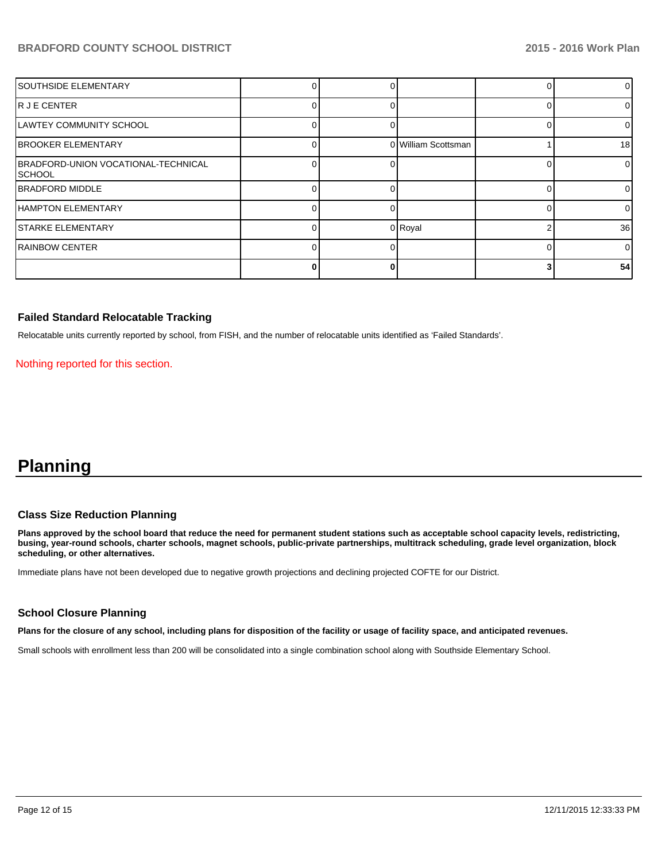## **BRADFORD COUNTY SCHOOL DISTRICT 2015 - 2016 Work Plan**

| <b>SOUTHSIDE ELEMENTARY</b>                    |  |                     | 01              |
|------------------------------------------------|--|---------------------|-----------------|
| IR J E CENTER                                  |  |                     | 01              |
| LAWTEY COMMUNITY SCHOOL                        |  |                     | $\overline{0}$  |
| <b>BROOKER ELEMENTARY</b>                      |  | 0 William Scottsman | 18 <sup>l</sup> |
| BRADFORD-UNION VOCATIONAL-TECHNICAL<br>ISCHOOL |  |                     | $\overline{0}$  |
| <b>IBRADFORD MIDDLE</b>                        |  |                     | 01              |
| <b>HAMPTON ELEMENTARY</b>                      |  |                     | 01              |
| <b>STARKE ELEMENTARY</b>                       |  | 0 Royal             | 36 <sup>l</sup> |
| <b>RAINBOW CENTER</b>                          |  |                     | $\Omega$        |
|                                                |  |                     | 54              |

#### **Failed Standard Relocatable Tracking**

Relocatable units currently reported by school, from FISH, and the number of relocatable units identified as 'Failed Standards'.

Nothing reported for this section.

# **Planning**

#### **Class Size Reduction Planning**

**Plans approved by the school board that reduce the need for permanent student stations such as acceptable school capacity levels, redistricting, busing, year-round schools, charter schools, magnet schools, public-private partnerships, multitrack scheduling, grade level organization, block scheduling, or other alternatives.**

Immediate plans have not been developed due to negative growth projections and declining projected COFTE for our District.

#### **School Closure Planning**

**Plans for the closure of any school, including plans for disposition of the facility or usage of facility space, and anticipated revenues.**

Small schools with enrollment less than 200 will be consolidated into a single combination school along with Southside Elementary School.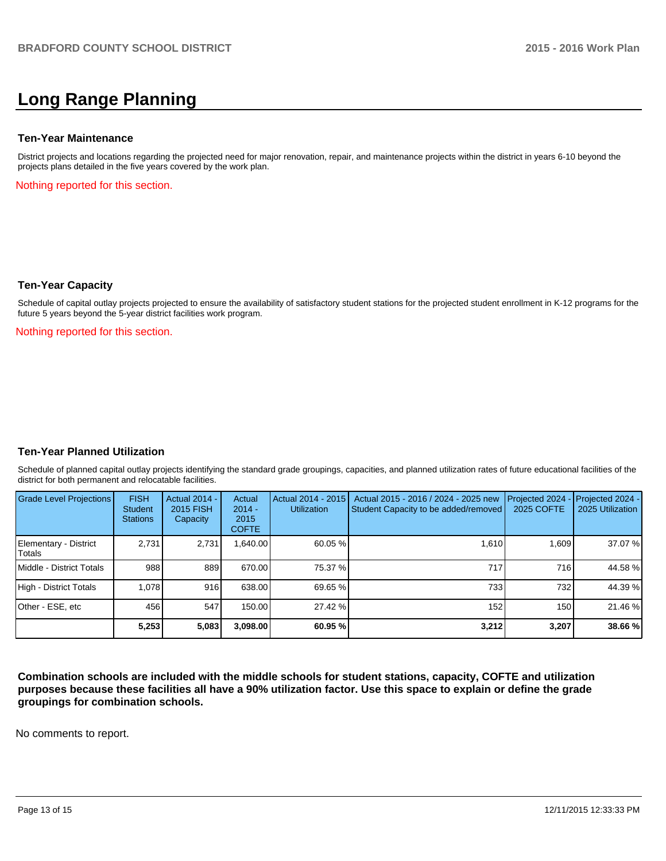# **Long Range Planning**

#### **Ten-Year Maintenance**

District projects and locations regarding the projected need for major renovation, repair, and maintenance projects within the district in years 6-10 beyond the projects plans detailed in the five years covered by the work plan.

Nothing reported for this section.

#### **Ten-Year Capacity**

Schedule of capital outlay projects projected to ensure the availability of satisfactory student stations for the projected student enrollment in K-12 programs for the future 5 years beyond the 5-year district facilities work program.

Nothing reported for this section.

#### **Ten-Year Planned Utilization**

Schedule of planned capital outlay projects identifying the standard grade groupings, capacities, and planned utilization rates of future educational facilities of the district for both permanent and relocatable facilities.

| <b>Grade Level Projections</b>  | <b>FISH</b><br>Student<br><b>Stations</b> | Actual 2014 -<br>2015 FISH<br>Capacity | Actual<br>$2014 -$<br>2015<br><b>COFTE</b> | Actual 2014 - 2015<br><b>Utilization</b> | Actual 2015 - 2016 / 2024 - 2025 new<br>Student Capacity to be added/removed | Projected 2024<br>2025 COFTE | $-$ Projected 2024 -<br>2025 Utilization |
|---------------------------------|-------------------------------------------|----------------------------------------|--------------------------------------------|------------------------------------------|------------------------------------------------------------------------------|------------------------------|------------------------------------------|
| Elementary - District<br>Totals | 2.731                                     | 2,731                                  | .640.00                                    | $60.05\%$                                | 1.610                                                                        | 1.609                        | 37.07 %                                  |
| Middle - District Totals        | 988                                       | 889                                    | 670.00                                     | 75.37 %I                                 | 717                                                                          | 716                          | 44.58 %                                  |
| High - District Totals          | 1.078                                     | 916                                    | 638.00                                     | 69.65 %                                  | 7331                                                                         | 732                          | 44.39 %                                  |
| Other - ESE, etc                | 456                                       | 547                                    | 150.00                                     | 27.42 %                                  | 152 <sub>1</sub>                                                             | 150                          | 21.46 %                                  |
|                                 | 5,253                                     | 5,083                                  | 3,098.00                                   | 60.95%                                   | 3,212                                                                        | 3,207                        | 38.66 %                                  |

**Combination schools are included with the middle schools for student stations, capacity, COFTE and utilization purposes because these facilities all have a 90% utilization factor. Use this space to explain or define the grade groupings for combination schools.**

No comments to report.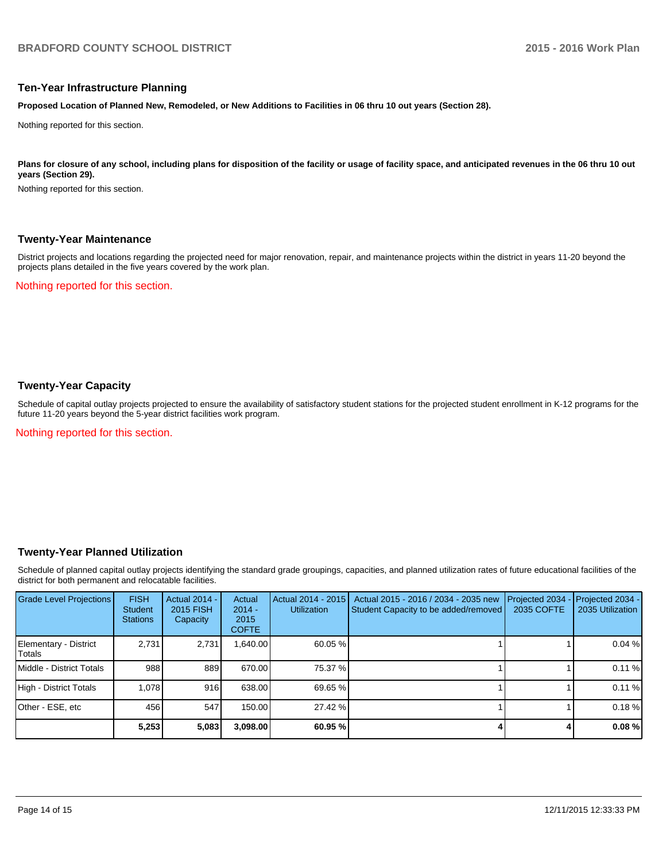#### **Ten-Year Infrastructure Planning**

**Proposed Location of Planned New, Remodeled, or New Additions to Facilities in 06 thru 10 out years (Section 28).**

Nothing reported for this section.

Plans for closure of any school, including plans for disposition of the facility or usage of facility space, and anticipated revenues in the 06 thru 10 out **years (Section 29).**

Nothing reported for this section.

#### **Twenty-Year Maintenance**

District projects and locations regarding the projected need for major renovation, repair, and maintenance projects within the district in years 11-20 beyond the projects plans detailed in the five years covered by the work plan.

Nothing reported for this section.

## **Twenty-Year Capacity**

Schedule of capital outlay projects projected to ensure the availability of satisfactory student stations for the projected student enrollment in K-12 programs for the future 11-20 years beyond the 5-year district facilities work program.

Nothing reported for this section.

#### **Twenty-Year Planned Utilization**

Schedule of planned capital outlay projects identifying the standard grade groupings, capacities, and planned utilization rates of future educational facilities of the district for both permanent and relocatable facilities.

| <b>Grade Level Projections</b>   | <b>FISH</b><br><b>Student</b><br><b>Stations</b> | <b>Actual 2014 -</b><br>2015 FISH<br>Capacity | Actual<br>$2014 -$<br>2015<br><b>COFTE</b> | Actual 2014 - 2015<br>Utilization | Actual 2015 - 2016 / 2034 - 2035 new<br>Student Capacity to be added/removed | Projected 2034<br>2035 COFTE | Projected 2034 -<br>2035 Utilization |
|----------------------------------|--------------------------------------------------|-----------------------------------------------|--------------------------------------------|-----------------------------------|------------------------------------------------------------------------------|------------------------------|--------------------------------------|
| Elementary - District<br> Totals | 2.731                                            | 2,731                                         | ,640.00                                    | $60.05\%$                         |                                                                              |                              | 0.04%                                |
| Middle - District Totals         | 988                                              | 889                                           | 670.00                                     | 75.37 %                           |                                                                              |                              | 0.11%                                |
| High - District Totals           | 1.078                                            | 916                                           | 638.00                                     | 69.65 %                           |                                                                              |                              | 0.11%                                |
| Other - ESE, etc                 | 456                                              | 547                                           | 150.00                                     | 27.42 %                           |                                                                              |                              | 0.18%                                |
|                                  | 5,253                                            | 5,083                                         | 3,098.00                                   | 60.95%                            |                                                                              |                              | $0.08 \%$                            |